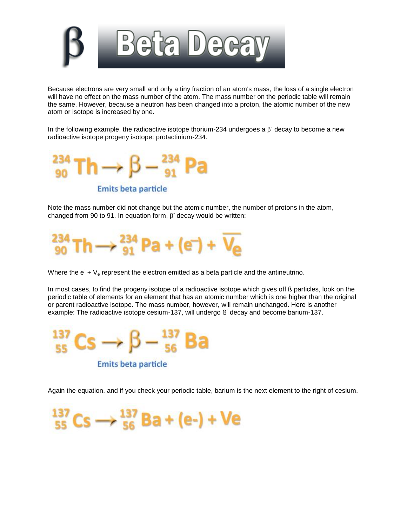

Because electrons are very small and only a tiny fraction of an atom's mass, the loss of a single electron will have no effect on the mass number of the atom. The mass number on the periodic table will remain the same. However, because a neutron has been changed into a proton, the atomic number of the new atom or isotope is increased by one.

In the following example, the radioactive isotope thorium-234 undergoes a  $\beta$  decay to become a new radioactive isotope progeny isotope: protactinium-234.



**Emits beta particle** 

Note the mass number did not change but the atomic number, the number of protons in the atom, changed from 90 to 91. In equation form,  $\beta$  decay would be written:



Where the  $e^+ + V_e$  represent the electron emitted as a beta particle and the antineutrino.

In most cases, to find the progeny isotope of a radioactive isotope which gives off ß particles, look on the periodic table of elements for an element that has an atomic number which is one higher than the original or parent radioactive isotope. The mass number, however, will remain unchanged. Here is another example: The radioactive isotope cesium-137, will undergo ß-decay and become barium-137.



Again the equation, and if you check your periodic table, barium is the next element to the right of cesium.